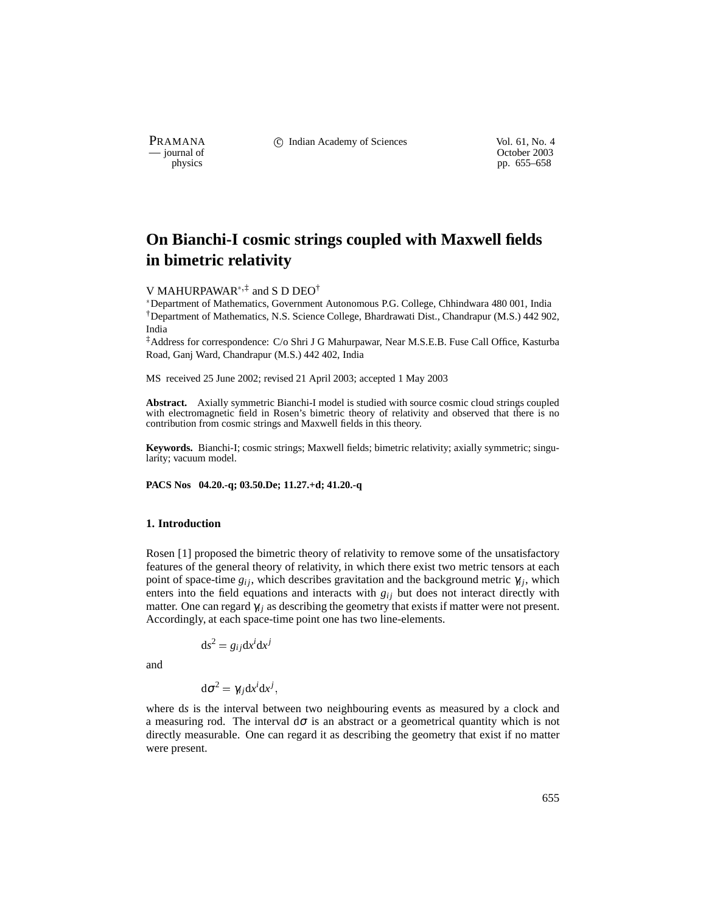PRAMANA <sup>comp</sup> computed contained in the Indian Academy of Sciences Vol. 61, No. 4<br>
computed vol. 61, No. 4<br>
computed vol. 61, No. 4

physics<br>
physics<br>
pp. 655–658<br>
pp. 655–658 pp. 655–658

# **On Bianchi-I cosmic strings coupled with Maxwell fields in bimetric relativity**

## V MAHURPAWAR<sup>\*,‡</sup> and S D DEO<sup>†</sup>

\*Department of Mathematics, Government Autonomous P.G. College, Chhindwara 480 001, India †Department of Mathematics, N.S. Science College, Bhardrawati Dist., Chandrapur (M.S.) 442 902, India

‡Address for correspondence: C/o Shri J G Mahurpawar, Near M.S.E.B. Fuse Call Office, Kasturba Road, Ganj Ward, Chandrapur (M.S.) 442 402, India

MS received 25 June 2002; revised 21 April 2003; accepted 1 May 2003

**Abstract.** Axially symmetric Bianchi-I model is studied with source cosmic cloud strings coupled with electromagnetic field in Rosen's bimetric theory of relativity and observed that there is no contribution from cosmic strings and Maxwell fields in this theory.

**Keywords.** Bianchi-I; cosmic strings; Maxwell fields; bimetric relativity; axially symmetric; singularity; vacuum model.

**PACS Nos 04.20.-q; 03.50.De; 11.27.+d; 41.20.-q**

#### **1. Introduction**

Rosen [1] proposed the bimetric theory of relativity to remove some of the unsatisfactory features of the general theory of relativity, in which there exist two metric tensors at each point of space-time  $g_{ij}$ , which describes gravitation and the background metric  $\gamma_{ij}$ , which enters into the field equations and interacts with  $g_{ij}$  but does not interact directly with matter. One can regard  $\gamma_i$  as describing the geometry that exists if matter were not present. Accordingly, at each space-time point one has two line-elements.

$$
ds^2 = g_{ij}dx^i dx^j
$$

and

 $d\sigma^2 = \gamma_{ij} dx^i dx^j$ ,

where d*s* is the interval between two neighbouring events as measured by a clock and a measuring rod. The interval  $d\sigma$  is an abstract or a geometrical quantity which is not directly measurable. One can regard it as describing the geometry that exist if no matter were present.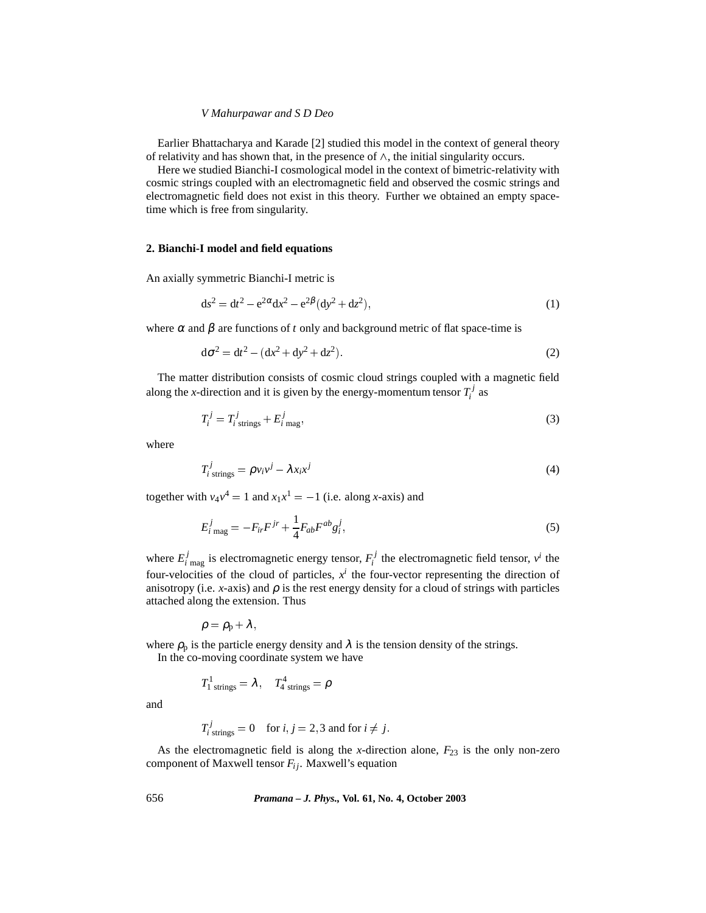#### *V Mahurpawar and S D Deo*

Earlier Bhattacharya and Karade [2] studied this model in the context of general theory of relativity and has shown that, in the presence of  $\wedge$ , the initial singularity occurs.

Here we studied Bianchi-I cosmological model in the context of bimetric-relativity with cosmic strings coupled with an electromagnetic field and observed the cosmic strings and electromagnetic field does not exist in this theory. Further we obtained an empty spacetime which is free from singularity.

### **2. Bianchi-I model and field equations**

An axially symmetric Bianchi-I metric is

$$
ds^{2} = dt^{2} - e^{2\alpha} dx^{2} - e^{2\beta} (dy^{2} + dz^{2}),
$$
\n(1)

where  $\alpha$  and  $\beta$  are functions of *t* only and background metric of flat space-time is

$$
d\sigma^2 = dt^2 - (dx^2 + dy^2 + dz^2).
$$
 (2)

The matter distribution consists of cosmic cloud strings coupled with a magnetic field along the *x*-direction and it is given by the energy-momentum tensor  $T_i^j$  as

$$
T_i^j = T_{i \text{ strings}}^j + E_{i \text{ mag}}^j,\tag{3}
$$

where

$$
T_i^j_{\text{strings}} = \rho v_i v^j - \lambda x_i x^j \tag{4}
$$

together with  $v_4v^4 = 1$  and  $x_1x^1 = -1$  (i.e. along *x*-axis) and

$$
E_{i \text{ mag}}^{j} = -F_{ir}F^{jr} + \frac{1}{4}F_{ab}F^{ab}g_{i}^{j},
$$
\n(5)

where  $E_i^j$  mag is electromagnetic energy tensor,  $F_i^j$  the electromagnetic field tensor,  $v^i$  the four-velocities of the cloud of particles,  $x^i$  the four-vector representing the direction of anisotropy (i.e. *x*-axis) and  $\rho$  is the rest energy density for a cloud of strings with particles attached along the extension. Thus

$$
\rho=\rho_{\rm p}+\lambda\,,
$$

where  $\rho_p$  is the particle energy density and  $\lambda$  is the tension density of the strings. In the co-moving coordinate system we have

$$
T_{1\;\rm strings}^1=\lambda\,,\quad T_{4\;\rm strings}^4=\rho
$$

and

$$
T_{i \text{ strings}}^j = 0 \quad \text{for } i, j = 2, 3 \text{ and for } i \neq j.
$$

As the electromagnetic field is along the *x*-direction alone,  $F_{23}$  is the only non-zero component of Maxwell tensor  $F_{ij}$ . Maxwell's equation

656 *Pramana – J. Phys.,* **Vol. 61, No. 4, October 2003**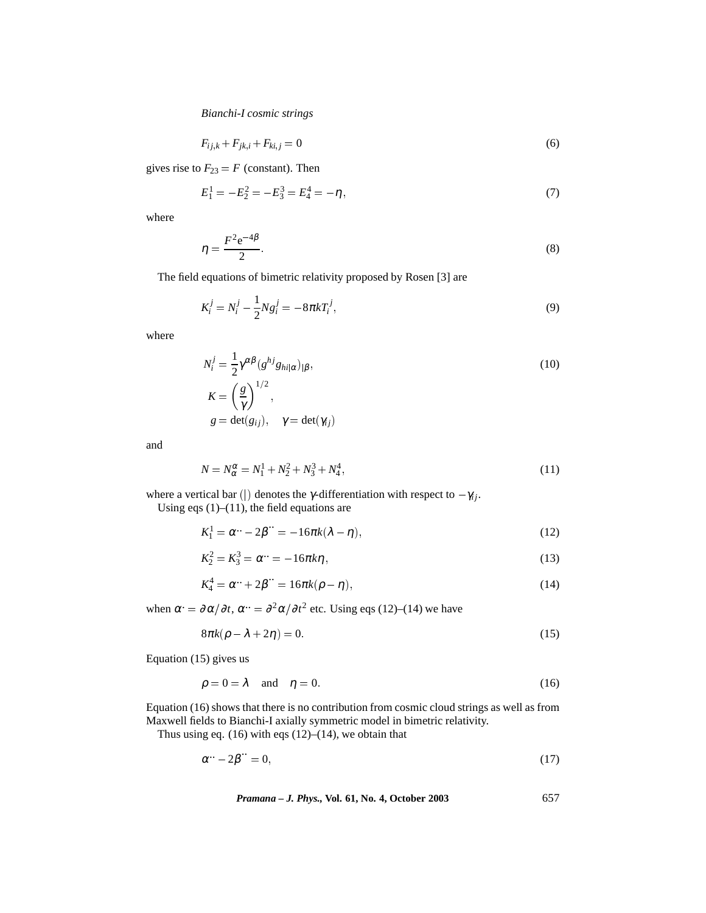*Bianchi-I cosmic strings*

$$
F_{ij,k} + F_{jk,i} + F_{ki,j} = 0
$$
\n(6)

gives rise to  $F_{23} = F$  (constant). Then

1

$$
E_1^1 = -E_2^2 = -E_3^3 = E_4^4 = -\eta,\tag{7}
$$

where

$$
\eta = \frac{F^2 e^{-4\beta}}{2}.
$$
\n(8)

The field equations of bimetric relativity proposed by Rosen [3] are

$$
K_i^j = N_i^j - \frac{1}{2} N g_i^j = -8\pi k T_i^j,
$$
\n(9)

where

$$
N_i^j = \frac{1}{2} \gamma^{\alpha \beta} (g^{hj} g_{hi|\alpha})_{|\beta},
$$
  
\n
$$
K = \left(\frac{g}{\gamma}\right)^{1/2},
$$
  
\n
$$
g = \det(g_{ij}), \quad \gamma = \det(\gamma_{ij})
$$
\n(10)

and

$$
N = N_{\alpha}^{\alpha} = N_1^1 + N_2^2 + N_3^3 + N_4^4,\tag{11}
$$

where a vertical bar (|) denotes the *γ*-differentiation with respect to  $-\gamma_{ij}$ . Using eqs  $(1)$ – $(11)$ , the field equations are

$$
K_1^1 = \alpha^{...} - 2\beta^{...} = -16\pi k(\lambda - \eta),
$$
\n(12)

$$
K_2^2 = K_3^3 = \alpha^{\dots} = -16\pi k \eta,
$$
\n(13)

$$
K_4^4 = \alpha^{\dots} + 2\beta^{\dots} = 16\pi k(\rho - \eta),\tag{14}
$$

when  $\alpha = \partial \alpha / \partial t$ ,  $\alpha = \partial^2 \alpha / \partial t^2$  etc. Using eqs (12)–(14) we have

$$
8\pi k(\rho - \lambda + 2\eta) = 0. \tag{15}
$$

Equation (15) gives us

$$
\rho = 0 = \lambda \quad \text{and} \quad \eta = 0. \tag{16}
$$

Equation (16) shows that there is no contribution from cosmic cloud strings as well as from Maxwell fields to Bianchi-I axially symmetric model in bimetric relativity.

Thus using eq.  $(16)$  with eqs  $(12)$ – $(14)$ , we obtain that

$$
\alpha^{..} - 2\beta^{..} = 0,\tag{17}
$$

*Pramana – J. Phys.,* **Vol. 61, No. 4, October 2003** 657